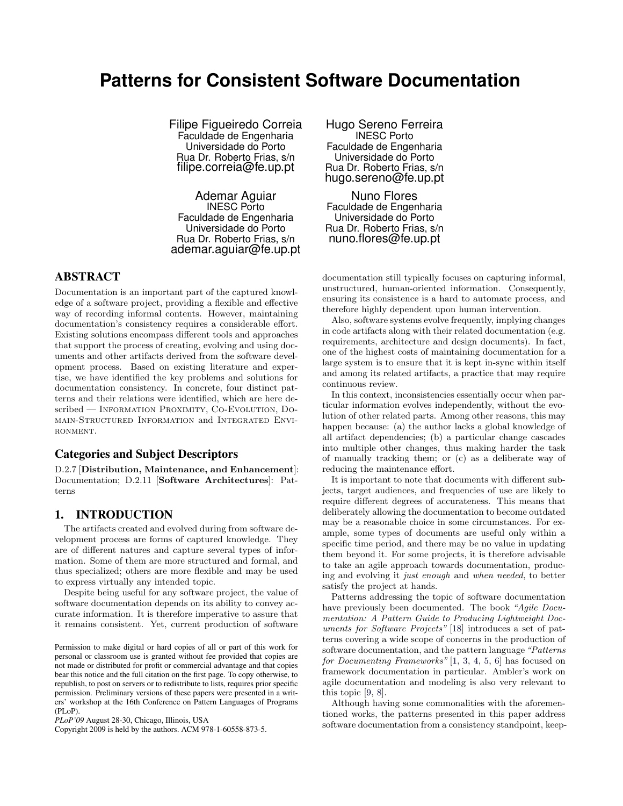# **Patterns for Consistent Software Documentation**

Filipe Figueiredo Correia Faculdade de Engenharia Universidade do Porto Rua Dr. Roberto Frias, s/n filipe.correia@fe.up.pt

Ademar Aguiar INESC Porto Faculdade de Engenharia Universidade do Porto Rua Dr. Roberto Frias, s/n ademar.aguiar@fe.up.pt

# ABSTRACT

Documentation is an important part of the captured knowledge of a software project, providing a flexible and effective way of recording informal contents. However, maintaining documentation's consistency requires a considerable effort. Existing solutions encompass different tools and approaches that support the process of creating, evolving and using documents and other artifacts derived from the software development process. Based on existing literature and expertise, we have identified the key problems and solutions for documentation consistency. In concrete, four distinct patterns and their relations were identified, which are here described — INFORMATION PROXIMITY, CO-EVOLUTION, DOmain-Structured Information and Integrated Envi-RONMENT.

# Categories and Subject Descriptors

D.2.7 [Distribution, Maintenance, and Enhancement]: Documentation; D.2.11 [Software Architectures]: Patterns

# 1. INTRODUCTION

The artifacts created and evolved during from software development process are forms of captured knowledge. They are of different natures and capture several types of information. Some of them are more structured and formal, and thus specialized; others are more flexible and may be used to express virtually any intended topic.

Despite being useful for any software project, the value of software documentation depends on its ability to convey accurate information. It is therefore imperative to assure that it remains consistent. Yet, current production of software

Copyright 2009 is held by the authors. ACM 978-1-60558-873-5.

Hugo Sereno Ferreira INESC Porto Faculdade de Engenharia Universidade do Porto Rua Dr. Roberto Frias, s/n hugo.sereno@fe.up.pt

Nuno Flores Faculdade de Engenharia Universidade do Porto Rua Dr. Roberto Frias, s/n nuno.flores@fe.up.pt

documentation still typically focuses on capturing informal, unstructured, human-oriented information. Consequently, ensuring its consistence is a hard to automate process, and therefore highly dependent upon human intervention.

Also, software systems evolve frequently, implying changes in code artifacts along with their related documentation (e.g. requirements, architecture and design documents). In fact, one of the highest costs of maintaining documentation for a large system is to ensure that it is kept in-sync within itself and among its related artifacts, a practice that may require continuous review.

In this context, inconsistencies essentially occur when particular information evolves independently, without the evolution of other related parts. Among other reasons, this may happen because: (a) the author lacks a global knowledge of all artifact dependencies; (b) a particular change cascades into multiple other changes, thus making harder the task of manually tracking them; or (c) as a deliberate way of reducing the maintenance effort.

It is important to note that documents with different subjects, target audiences, and frequencies of use are likely to require different degrees of accurateness. This means that deliberately allowing the documentation to become outdated may be a reasonable choice in some circumstances. For example, some types of documents are useful only within a specific time period, and there may be no value in updating them beyond it. For some projects, it is therefore advisable to take an agile approach towards documentation, producing and evolving it just enough and when needed, to better satisfy the project at hands.

Patterns addressing the topic of software documentation have previously been documented. The book "Agile Documentation: A Pattern Guide to Producing Lightweight Documents for Software Projects" [\[18\]](#page-6-0) introduces a set of patterns covering a wide scope of concerns in the production of software documentation, and the pattern language "Patterns for Documenting Frameworks" [\[1,](#page-5-0) [3,](#page-5-1) [4,](#page-5-2) [5,](#page-5-3) [6\]](#page-5-4) has focused on framework documentation in particular. Ambler's work on agile documentation and modeling is also very relevant to this topic [\[9,](#page-5-5) [8\]](#page-5-6).

Although having some commonalities with the aforementioned works, the patterns presented in this paper address software documentation from a consistency standpoint, keep-

Permission to make digital or hard copies of all or part of this work for personal or classroom use is granted without fee provided that copies are not made or distributed for profit or commercial advantage and that copies bear this notice and the full citation on the first page. To copy otherwise, to republish, to post on servers or to redistribute to lists, requires prior specific permission. Preliminary versions of these papers were presented in a writers' workshop at the 16th Conference on Pattern Languages of Programs (PLoP).

*PLoP'09* August 28-30, Chicago, Illinois, USA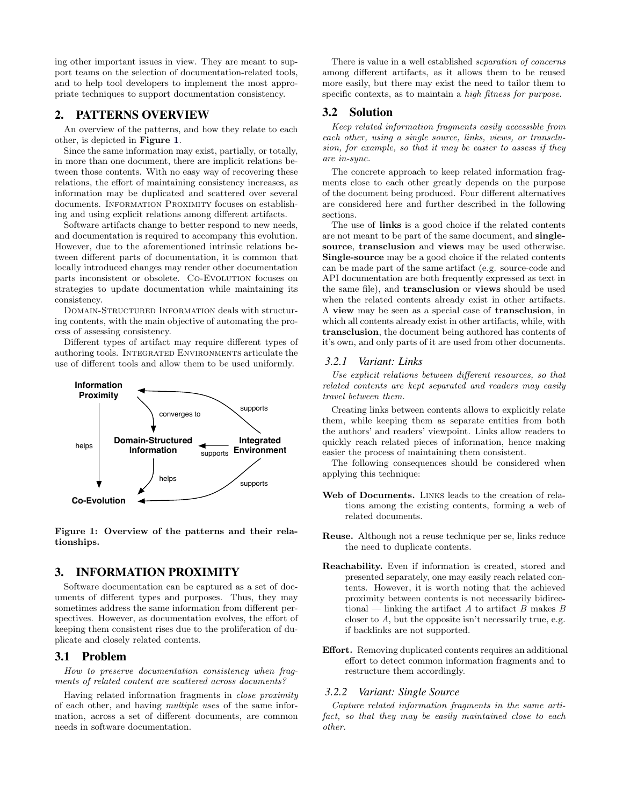ing other important issues in view. They are meant to support teams on the selection of documentation-related tools, and to help tool developers to implement the most appropriate techniques to support documentation consistency.

# 2. PATTERNS OVERVIEW

An overview of the patterns, and how they relate to each other, is depicted in Figure [1](#page-1-0).

Since the same information may exist, partially, or totally, in more than one document, there are implicit relations between those contents. With no easy way of recovering these relations, the effort of maintaining consistency increases, as information may be duplicated and scattered over several documents. INFORMATION PROXIMITY focuses on establishing and using explicit relations among different artifacts.

Software artifacts change to better respond to new needs, and documentation is required to accompany this evolution. However, due to the aforementioned intrinsic relations between different parts of documentation, it is common that locally introduced changes may render other documentation parts inconsistent or obsolete. Co-Evolution focuses on strategies to update documentation while maintaining its consistency.

Domain-Structured Information deals with structuring contents, with the main objective of automating the process of assessing consistency.

Different types of artifact may require different types of authoring tools. Integrated Environments articulate the use of different tools and allow them to be used uniformly.



<span id="page-1-0"></span>Figure 1: Overview of the patterns and their relationships.

# 3. INFORMATION PROXIMITY

Software documentation can be captured as a set of documents of different types and purposes. Thus, they may sometimes address the same information from different perspectives. However, as documentation evolves, the effort of keeping them consistent rises due to the proliferation of duplicate and closely related contents.

#### 3.1 Problem

How to preserve documentation consistency when fragments of related content are scattered across documents?

Having related information fragments in close proximity of each other, and having multiple uses of the same information, across a set of different documents, are common needs in software documentation.

There is value in a well established separation of concerns among different artifacts, as it allows them to be reused more easily, but there may exist the need to tailor them to specific contexts, as to maintain a *high fitness for purpose*.

# 3.2 Solution

Keep related information fragments easily accessible from each other, using a single source, links, views, or transclusion, for example, so that it may be easier to assess if they are in-sync.

The concrete approach to keep related information fragments close to each other greatly depends on the purpose of the document being produced. Four different alternatives are considered here and further described in the following sections.

The use of links is a good choice if the related contents are not meant to be part of the same document, and singlesource, transclusion and views may be used otherwise. Single-source may be a good choice if the related contents can be made part of the same artifact (e.g. source-code and API documentation are both frequently expressed as text in the same file), and transclusion or views should be used when the related contents already exist in other artifacts. A view may be seen as a special case of transclusion, in which all contents already exist in other artifacts, while, with transclusion, the document being authored has contents of it's own, and only parts of it are used from other documents.

## *3.2.1 Variant: Links*

Use explicit relations between different resources, so that related contents are kept separated and readers may easily travel between them.

Creating links between contents allows to explicitly relate them, while keeping them as separate entities from both the authors' and readers' viewpoint. Links allow readers to quickly reach related pieces of information, hence making easier the process of maintaining them consistent.

The following consequences should be considered when applying this technique:

- Web of Documents. LINKS leads to the creation of relations among the existing contents, forming a web of related documents.
- Reuse. Although not a reuse technique per se, links reduce the need to duplicate contents.
- Reachability. Even if information is created, stored and presented separately, one may easily reach related contents. However, it is worth noting that the achieved proximity between contents is not necessarily bidirectional — linking the artifact A to artifact B makes B closer to A, but the opposite isn't necessarily true, e.g. if backlinks are not supported.
- Effort. Removing duplicated contents requires an additional effort to detect common information fragments and to restructure them accordingly.

#### *3.2.2 Variant: Single Source*

Capture related information fragments in the same artifact, so that they may be easily maintained close to each other.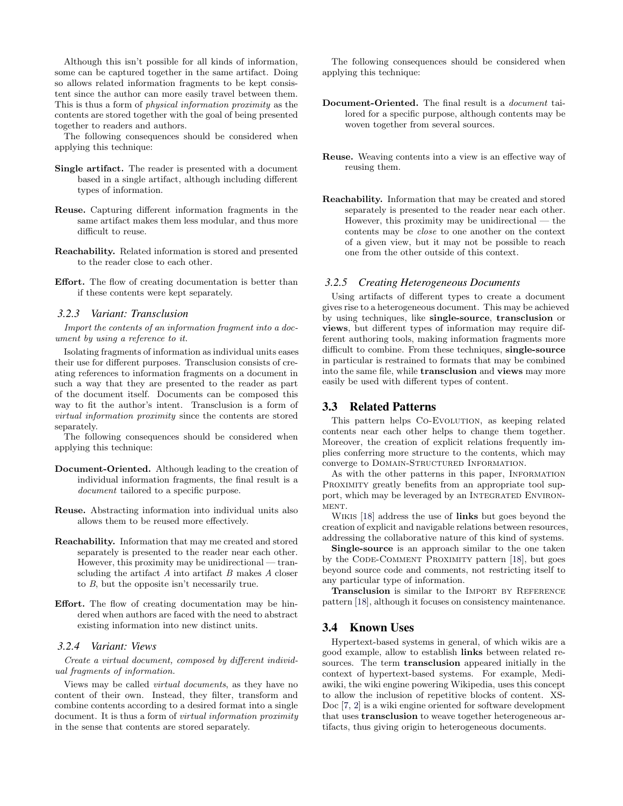Although this isn't possible for all kinds of information, some can be captured together in the same artifact. Doing so allows related information fragments to be kept consistent since the author can more easily travel between them. This is thus a form of physical information proximity as the contents are stored together with the goal of being presented together to readers and authors.

The following consequences should be considered when applying this technique:

- Single artifact. The reader is presented with a document based in a single artifact, although including different types of information.
- Reuse. Capturing different information fragments in the same artifact makes them less modular, and thus more difficult to reuse.
- Reachability. Related information is stored and presented to the reader close to each other.
- Effort. The flow of creating documentation is better than if these contents were kept separately.

#### *3.2.3 Variant: Transclusion*

Import the contents of an information fragment into a document by using a reference to it.

Isolating fragments of information as individual units eases their use for different purposes. Transclusion consists of creating references to information fragments on a document in such a way that they are presented to the reader as part of the document itself. Documents can be composed this way to fit the author's intent. Transclusion is a form of virtual information proximity since the contents are stored separately.

The following consequences should be considered when applying this technique:

- Document-Oriented. Although leading to the creation of individual information fragments, the final result is a document tailored to a specific purpose.
- Reuse. Abstracting information into individual units also allows them to be reused more effectively.
- Reachability. Information that may me created and stored separately is presented to the reader near each other. However, this proximity may be unidirectional — transcluding the artifact  $A$  into artifact  $B$  makes  $A$  closer to B, but the opposite isn't necessarily true.
- Effort. The flow of creating documentation may be hindered when authors are faced with the need to abstract existing information into new distinct units.

### *3.2.4 Variant: Views*

Create a virtual document, composed by different individual fragments of information.

Views may be called virtual documents, as they have no content of their own. Instead, they filter, transform and combine contents according to a desired format into a single document. It is thus a form of virtual information proximity in the sense that contents are stored separately.

The following consequences should be considered when applying this technique:

- Document-Oriented. The final result is a document tailored for a specific purpose, although contents may be woven together from several sources.
- Reuse. Weaving contents into a view is an effective way of reusing them.
- Reachability. Information that may be created and stored separately is presented to the reader near each other. However, this proximity may be unidirectional — the contents may be close to one another on the context of a given view, but it may not be possible to reach one from the other outside of this context.

#### *3.2.5 Creating Heterogeneous Documents*

Using artifacts of different types to create a document gives rise to a heterogeneous document. This may be achieved by using techniques, like single-source, transclusion or views, but different types of information may require different authoring tools, making information fragments more difficult to combine. From these techniques, single-source in particular is restrained to formats that may be combined into the same file, while transclusion and views may more easily be used with different types of content.

### 3.3 Related Patterns

This pattern helps Co-Evolution, as keeping related contents near each other helps to change them together. Moreover, the creation of explicit relations frequently implies conferring more structure to the contents, which may converge to DOMAIN-STRUCTURED INFORMATION.

As with the other patterns in this paper, INFORMATION PROXIMITY greatly benefits from an appropriate tool support, which may be leveraged by an INTEGRATED ENVIRON-MENT.

WIKIS [\[18\]](#page-6-0) address the use of **links** but goes beyond the creation of explicit and navigable relations between resources, addressing the collaborative nature of this kind of systems.

Single-source is an approach similar to the one taken by the CODE-COMMENT PROXIMITY pattern [\[18\]](#page-6-0), but goes beyond source code and comments, not restricting itself to any particular type of information.

Transclusion is similar to the IMPORT BY REFERENCE pattern [\[18\]](#page-6-0), although it focuses on consistency maintenance.

### 3.4 Known Uses

Hypertext-based systems in general, of which wikis are a good example, allow to establish links between related resources. The term transclusion appeared initially in the context of hypertext-based systems. For example, Mediawiki, the wiki engine powering Wikipedia, uses this concept to allow the inclusion of repetitive blocks of content. XS-Doc [\[7,](#page-5-7) [2\]](#page-5-8) is a wiki engine oriented for software development that uses transclusion to weave together heterogeneous artifacts, thus giving origin to heterogeneous documents.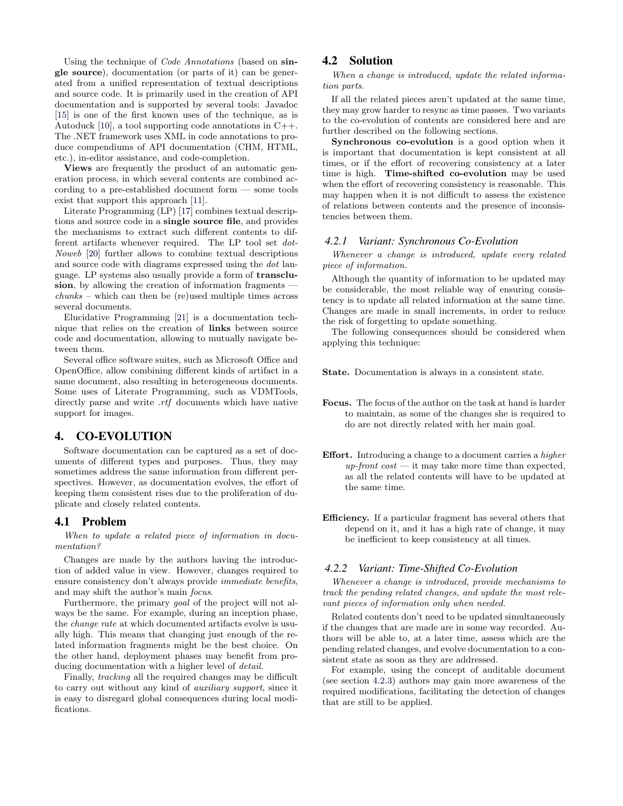Using the technique of Code Annotations (based on single source), documentation (or parts of it) can be generated from a unified representation of textual descriptions and source code. It is primarily used in the creation of API documentation and is supported by several tools: Javadoc [\[15\]](#page-6-1) is one of the first known uses of the technique, as is Autoduck [\[10\]](#page-6-2), a tool supporting code annotations in C++. The .NET framework uses XML in code annotations to produce compendiums of API documentation (CHM, HTML, etc.), in-editor assistance, and code-completion.

Views are frequently the product of an automatic generation process, in which several contents are combined according to a pre-established document form — some tools exist that support this approach [\[11\]](#page-6-3).

Literate Programming (LP) [\[17\]](#page-6-4) combines textual descriptions and source code in a single source file, and provides the mechanisms to extract such different contents to different artifacts whenever required. The LP tool set dot-Noweb [\[20\]](#page-6-5) further allows to combine textual descriptions and source code with diagrams expressed using the dot language. LP systems also usually provide a form of transclusion, by allowing the creation of information fragments chunks – which can then be (re)used multiple times across several documents.

Elucidative Programming [\[21\]](#page-6-6) is a documentation technique that relies on the creation of links between source code and documentation, allowing to mutually navigate between them.

Several office software suites, such as Microsoft Office and OpenOffice, allow combining different kinds of artifact in a same document, also resulting in heterogeneous documents. Some uses of Literate Programming, such as VDMTools, directly parse and write  $.rtf$  documents which have native support for images.

# 4. CO-EVOLUTION

Software documentation can be captured as a set of documents of different types and purposes. Thus, they may sometimes address the same information from different perspectives. However, as documentation evolves, the effort of keeping them consistent rises due to the proliferation of duplicate and closely related contents.

### 4.1 Problem

#### When to update a related piece of information in documentation?

Changes are made by the authors having the introduction of added value in view. However, changes required to ensure consistency don't always provide immediate benefits, and may shift the author's main focus.

Furthermore, the primary goal of the project will not always be the same. For example, during an inception phase, the change rate at which documented artifacts evolve is usually high. This means that changing just enough of the related information fragments might be the best choice. On the other hand, deployment phases may benefit from producing documentation with a higher level of *detail*.

Finally, tracking all the required changes may be difficult to carry out without any kind of auxiliary support, since it is easy to disregard global consequences during local modifications.

# 4.2 Solution

When a change is introduced, update the related information parts.

If all the related pieces aren't updated at the same time, they may grow harder to resync as time passes. Two variants to the co-evolution of contents are considered here and are further described on the following sections.

Synchronous co-evolution is a good option when it is important that documentation is kept consistent at all times, or if the effort of recovering consistency at a later time is high. Time-shifted co-evolution may be used when the effort of recovering consistency is reasonable. This may happen when it is not difficult to assess the existence of relations between contents and the presence of inconsistencies between them.

#### *4.2.1 Variant: Synchronous Co-Evolution*

Whenever a change is introduced, update every related piece of information.

Although the quantity of information to be updated may be considerable, the most reliable way of ensuring consistency is to update all related information at the same time. Changes are made in small increments, in order to reduce the risk of forgetting to update something.

The following consequences should be considered when applying this technique:

State. Documentation is always in a consistent state.

- Focus. The focus of the author on the task at hand is harder to maintain, as some of the changes she is required to do are not directly related with her main goal.
- Effort. Introducing a change to a document carries a higher up-front  $cost$  — it may take more time than expected, as all the related contents will have to be updated at the same time.
- Efficiency. If a particular fragment has several others that depend on it, and it has a high rate of change, it may be inefficient to keep consistency at all times.

#### *4.2.2 Variant: Time-Shifted Co-Evolution*

Whenever a change is introduced, provide mechanisms to track the pending related changes, and update the most relevant pieces of information only when needed.

Related contents don't need to be updated simultaneously if the changes that are made are in some way recorded. Authors will be able to, at a later time, assess which are the pending related changes, and evolve documentation to a consistent state as soon as they are addressed.

For example, using the concept of auditable document (see section [4.2.3\)](#page-4-0) authors may gain more awareness of the required modifications, facilitating the detection of changes that are still to be applied.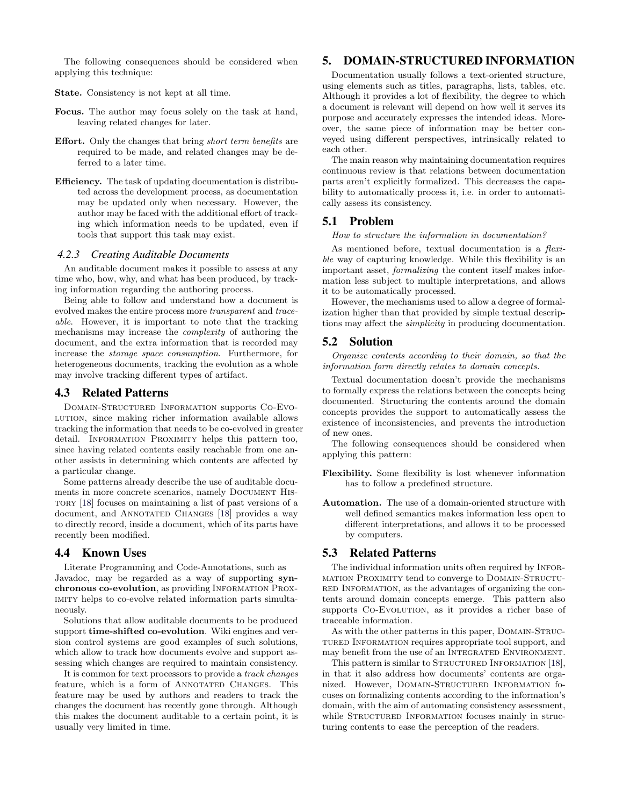The following consequences should be considered when applying this technique:

State. Consistency is not kept at all time.

- Focus. The author may focus solely on the task at hand, leaving related changes for later.
- Effort. Only the changes that bring short term benefits are required to be made, and related changes may be deferred to a later time.
- Efficiency. The task of updating documentation is distributed across the development process, as documentation may be updated only when necessary. However, the author may be faced with the additional effort of tracking which information needs to be updated, even if tools that support this task may exist.

#### <span id="page-4-0"></span>*4.2.3 Creating Auditable Documents*

An auditable document makes it possible to assess at any time who, how, why, and what has been produced, by tracking information regarding the authoring process.

Being able to follow and understand how a document is evolved makes the entire process more transparent and traceable. However, it is important to note that the tracking mechanisms may increase the complexity of authoring the document, and the extra information that is recorded may increase the storage space consumption. Furthermore, for heterogeneous documents, tracking the evolution as a whole may involve tracking different types of artifact.

# 4.3 Related Patterns

Domain-Structured Information supports Co-Evolution, since making richer information available allows tracking the information that needs to be co-evolved in greater detail. INFORMATION PROXIMITY helps this pattern too, since having related contents easily reachable from one another assists in determining which contents are affected by a particular change.

Some patterns already describe the use of auditable documents in more concrete scenarios, namely DOCUMENT HIStory [\[18\]](#page-6-0) focuses on maintaining a list of past versions of a document, and ANNOTATED CHANGES [\[18\]](#page-6-0) provides a way to directly record, inside a document, which of its parts have recently been modified.

### 4.4 Known Uses

Literate Programming and Code-Annotations, such as Javadoc, may be regarded as a way of supporting synchronous co-evolution, as providing Information Proximity helps to co-evolve related information parts simultaneously.

Solutions that allow auditable documents to be produced support time-shifted co-evolution. Wiki engines and version control systems are good examples of such solutions, which allow to track how documents evolve and support assessing which changes are required to maintain consistency.

It is common for text processors to provide a track changes feature, which is a form of ANNOTATED CHANGES. This feature may be used by authors and readers to track the changes the document has recently gone through. Although this makes the document auditable to a certain point, it is usually very limited in time.

# 5. DOMAIN-STRUCTURED INFORMATION

Documentation usually follows a text-oriented structure, using elements such as titles, paragraphs, lists, tables, etc. Although it provides a lot of flexibility, the degree to which a document is relevant will depend on how well it serves its purpose and accurately expresses the intended ideas. Moreover, the same piece of information may be better conveyed using different perspectives, intrinsically related to each other.

The main reason why maintaining documentation requires continuous review is that relations between documentation parts aren't explicitly formalized. This decreases the capability to automatically process it, i.e. in order to automatically assess its consistency.

### 5.1 Problem

How to structure the information in documentation?

As mentioned before, textual documentation is a *flexi*ble way of capturing knowledge. While this flexibility is an important asset, formalizing the content itself makes information less subject to multiple interpretations, and allows it to be automatically processed.

However, the mechanisms used to allow a degree of formalization higher than that provided by simple textual descriptions may affect the simplicity in producing documentation.

# 5.2 Solution

Organize contents according to their domain, so that the information form directly relates to domain concepts.

Textual documentation doesn't provide the mechanisms to formally express the relations between the concepts being documented. Structuring the contents around the domain concepts provides the support to automatically assess the existence of inconsistencies, and prevents the introduction of new ones.

The following consequences should be considered when applying this pattern:

Flexibility. Some flexibility is lost whenever information has to follow a predefined structure.

Automation. The use of a domain-oriented structure with well defined semantics makes information less open to different interpretations, and allows it to be processed by computers.

# 5.3 Related Patterns

The individual information units often required by INFORmation Proximity tend to converge to Domain-Structured Information, as the advantages of organizing the contents around domain concepts emerge. This pattern also supports CO-EVOLUTION, as it provides a richer base of traceable information.

As with the other patterns in this paper, Domain-Structured Information requires appropriate tool support, and may benefit from the use of an INTEGRATED ENVIRONMENT.

This pattern is similar to STRUCTURED INFORMATION [\[18\]](#page-6-0), in that it also address how documents' contents are organized. However, Domain-Structured Information focuses on formalizing contents according to the information's domain, with the aim of automating consistency assessment, while STRUCTURED INFORMATION focuses mainly in structuring contents to ease the perception of the readers.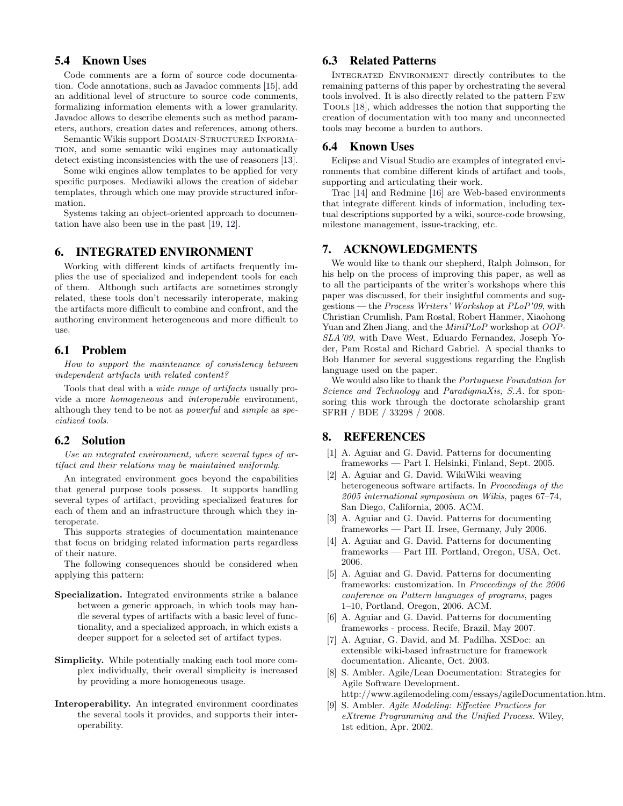# 5.4 Known Uses

Code comments are a form of source code documentation. Code annotations, such as Javadoc comments [\[15\]](#page-6-1), add an additional level of structure to source code comments, formalizing information elements with a lower granularity. Javadoc allows to describe elements such as method parameters, authors, creation dates and references, among others.

Semantic Wikis support DOMAIN-STRUCTURED INFORMAtion, and some semantic wiki engines may automatically detect existing inconsistencies with the use of reasoners [\[13\]](#page-6-7).

Some wiki engines allow templates to be applied for very specific purposes. Mediawiki allows the creation of sidebar templates, through which one may provide structured information.

Systems taking an object-oriented approach to documentation have also been use in the past [\[19,](#page-6-8) [12\]](#page-6-9).

# 6. INTEGRATED ENVIRONMENT

Working with different kinds of artifacts frequently implies the use of specialized and independent tools for each of them. Although such artifacts are sometimes strongly related, these tools don't necessarily interoperate, making the artifacts more difficult to combine and confront, and the authoring environment heterogeneous and more difficult to use.

# 6.1 Problem

How to support the maintenance of consistency between independent artifacts with related content?

Tools that deal with a wide range of artifacts usually provide a more homogeneous and interoperable environment, although they tend to be not as powerful and simple as specialized tools.

### 6.2 Solution

Use an integrated environment, where several types of artifact and their relations may be maintained uniformly.

An integrated environment goes beyond the capabilities that general purpose tools possess. It supports handling several types of artifact, providing specialized features for each of them and an infrastructure through which they interoperate.

This supports strategies of documentation maintenance that focus on bridging related information parts regardless of their nature.

The following consequences should be considered when applying this pattern:

- Specialization. Integrated environments strike a balance between a generic approach, in which tools may handle several types of artifacts with a basic level of functionality, and a specialized approach, in which exists a deeper support for a selected set of artifact types.
- Simplicity. While potentially making each tool more complex individually, their overall simplicity is increased by providing a more homogeneous usage.
- Interoperability. An integrated environment coordinates the several tools it provides, and supports their interoperability.

# 6.3 Related Patterns

Integrated Environment directly contributes to the remaining patterns of this paper by orchestrating the several tools involved. It is also directly related to the pattern Few Tools [\[18\]](#page-6-0), which addresses the notion that supporting the creation of documentation with too many and unconnected tools may become a burden to authors.

# 6.4 Known Uses

Eclipse and Visual Studio are examples of integrated environments that combine different kinds of artifact and tools, supporting and articulating their work.

Trac [\[14\]](#page-6-10) and Redmine [\[16\]](#page-6-11) are Web-based environments that integrate different kinds of information, including textual descriptions supported by a wiki, source-code browsing, milestone management, issue-tracking, etc.

# 7. ACKNOWLEDGMENTS

We would like to thank our shepherd, Ralph Johnson, for his help on the process of improving this paper, as well as to all the participants of the writer's workshops where this paper was discussed, for their insightful comments and suggestions — the Process Writers' Workshop at PLoP'09, with Christian Crumlish, Pam Rostal, Robert Hanmer, Xiaohong Yuan and Zhen Jiang, and the MiniPLoP workshop at OOP-SLA'09, with Dave West, Eduardo Fernandez, Joseph Yoder, Pam Rostal and Richard Gabriel. A special thanks to Bob Hanmer for several suggestions regarding the English language used on the paper.

We would also like to thank the Portuguese Foundation for Science and Technology and ParadigmaXis, S.A. for sponsoring this work through the doctorate scholarship grant SFRH / BDE / 33298 / 2008.

# 8. REFERENCES

- <span id="page-5-0"></span>[1] A. Aguiar and G. David. Patterns for documenting frameworks — Part I. Helsinki, Finland, Sept. 2005.
- <span id="page-5-8"></span>[2] A. Aguiar and G. David. WikiWiki weaving heterogeneous software artifacts. In Proceedings of the 2005 international symposium on Wikis, pages 67–74, San Diego, California, 2005. ACM.
- <span id="page-5-1"></span>[3] A. Aguiar and G. David. Patterns for documenting frameworks — Part II. Irsee, Germany, July 2006.
- <span id="page-5-2"></span>[4] A. Aguiar and G. David. Patterns for documenting frameworks — Part III. Portland, Oregon, USA, Oct. 2006.
- <span id="page-5-3"></span>[5] A. Aguiar and G. David. Patterns for documenting frameworks: customization. In Proceedings of the 2006 conference on Pattern languages of programs, pages 1–10, Portland, Oregon, 2006. ACM.
- <span id="page-5-4"></span>[6] A. Aguiar and G. David. Patterns for documenting frameworks - process. Recife, Brazil, May 2007.
- <span id="page-5-7"></span>[7] A. Aguiar, G. David, and M. Padilha. XSDoc: an extensible wiki-based infrastructure for framework documentation. Alicante, Oct. 2003.
- <span id="page-5-6"></span>[8] S. Ambler. Agile/Lean Documentation: Strategies for Agile Software Development. http://www.agilemodeling.com/essays/agileDocumentation.htm.
- <span id="page-5-5"></span>[9] S. Ambler. Agile Modeling: Effective Practices for eXtreme Programming and the Unified Process. Wiley, 1st edition, Apr. 2002.